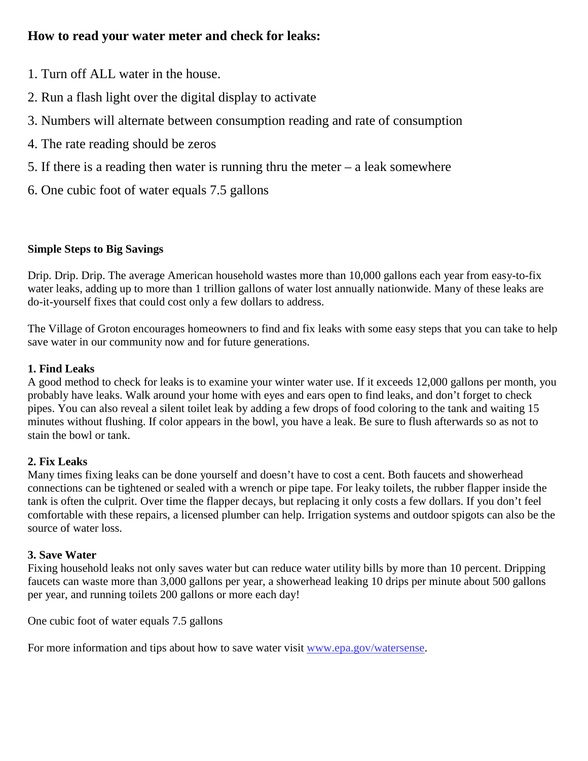# **How to read your water meter and check for leaks:**

- 1. Turn off ALL water in the house.
- 2. Run a flash light over the digital display to activate
- 3. Numbers will alternate between consumption reading and rate of consumption
- 4. The rate reading should be zeros
- 5. If there is a reading then water is running thru the meter a leak somewhere
- 6. One cubic foot of water equals 7.5 gallons

#### **Simple Steps to Big Savings**

Drip. Drip. Drip. The average American household wastes more than 10,000 gallons each year from easy-to-fix water leaks, adding up to more than 1 trillion gallons of water lost annually nationwide. Many of these leaks are do-it-yourself fixes that could cost only a few dollars to address.

The Village of Groton encourages homeowners to find and fix leaks with some easy steps that you can take to help save water in our community now and for future generations.

#### **1. Find Leaks**

A good method to check for leaks is to examine your winter water use. If it exceeds 12,000 gallons per month, you probably have leaks. Walk around your home with eyes and ears open to find leaks, and don't forget to check pipes. You can also reveal a silent toilet leak by adding a few drops of food coloring to the tank and waiting 15 minutes without flushing. If color appears in the bowl, you have a leak. Be sure to flush afterwards so as not to stain the bowl or tank.

#### **2. Fix Leaks**

Many times fixing leaks can be done yourself and doesn't have to cost a cent. Both faucets and showerhead connections can be tightened or sealed with a wrench or pipe tape. For leaky toilets, the rubber flapper inside the tank is often the culprit. Over time the flapper decays, but replacing it only costs a few dollars. If you don't feel comfortable with these repairs, a licensed plumber can help. Irrigation systems and outdoor spigots can also be the source of water loss.

#### **3. Save Water**

Fixing household leaks not only saves water but can reduce water utility bills by more than 10 percent. Dripping faucets can waste more than 3,000 gallons per year, a showerhead leaking 10 drips per minute about 500 gallons per year, and running toilets 200 gallons or more each day!

One cubic foot of water equals 7.5 gallons

For more information and tips about how to save water visit [www.epa.gov/watersense.](http://www.epa.gov/watersense)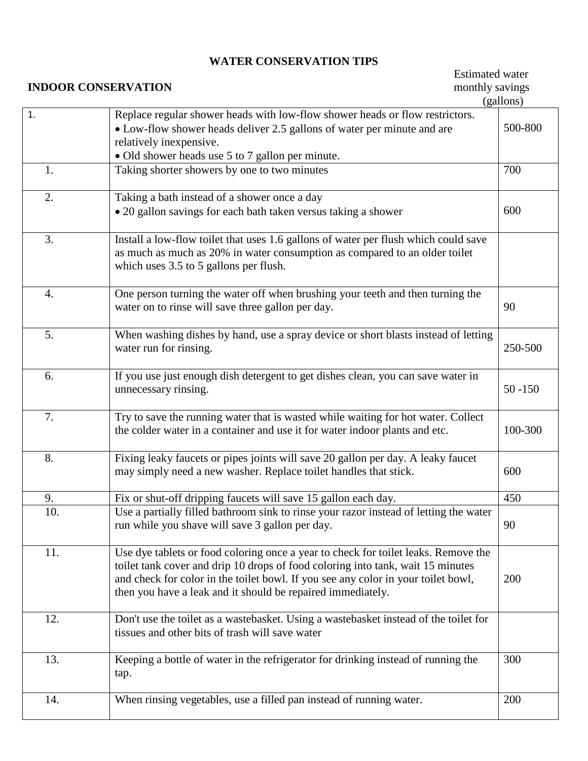### **WATER CONSERVATION TIPS**

| <b>INDOOR CONSERVATION</b> |                                                                                                                                                                                                                                                                                                                           | <b>Estimated water</b><br>monthly savings<br>(gallons) |  |
|----------------------------|---------------------------------------------------------------------------------------------------------------------------------------------------------------------------------------------------------------------------------------------------------------------------------------------------------------------------|--------------------------------------------------------|--|
| 1.                         | Replace regular shower heads with low-flow shower heads or flow restrictors.<br>• Low-flow shower heads deliver 2.5 gallons of water per minute and are<br>relatively inexpensive.<br>• Old shower heads use 5 to 7 gallon per minute.                                                                                    | 500-800                                                |  |
| 1.                         | Taking shorter showers by one to two minutes                                                                                                                                                                                                                                                                              | 700                                                    |  |
| 2.                         | Taking a bath instead of a shower once a day<br>• 20 gallon savings for each bath taken versus taking a shower                                                                                                                                                                                                            | 600                                                    |  |
| 3.                         | Install a low-flow toilet that uses 1.6 gallons of water per flush which could save<br>as much as much as 20% in water consumption as compared to an older toilet<br>which uses 3.5 to 5 gallons per flush.                                                                                                               |                                                        |  |
| $\overline{4}$ .           | One person turning the water off when brushing your teeth and then turning the<br>water on to rinse will save three gallon per day.                                                                                                                                                                                       | 90                                                     |  |
| 5.                         | When washing dishes by hand, use a spray device or short blasts instead of letting<br>water run for rinsing.                                                                                                                                                                                                              | 250-500                                                |  |
| 6.                         | If you use just enough dish detergent to get dishes clean, you can save water in<br>unnecessary rinsing.                                                                                                                                                                                                                  | $50 - 150$                                             |  |
| 7.                         | Try to save the running water that is wasted while waiting for hot water. Collect<br>the colder water in a container and use it for water indoor plants and etc.                                                                                                                                                          | 100-300                                                |  |
| 8.                         | Fixing leaky faucets or pipes joints will save 20 gallon per day. A leaky faucet<br>may simply need a new washer. Replace toilet handles that stick.                                                                                                                                                                      | 600                                                    |  |
| 9.                         | Fix or shut-off dripping faucets will save 15 gallon each day.                                                                                                                                                                                                                                                            | 450                                                    |  |
| 10.                        | Use a partially filled bathroom sink to rinse your razor instead of letting the water<br>run while you shave will save 3 gallon per day.                                                                                                                                                                                  | 90                                                     |  |
| 11.                        | Use dye tablets or food coloring once a year to check for toilet leaks. Remove the<br>toilet tank cover and drip 10 drops of food coloring into tank, wait 15 minutes<br>and check for color in the toilet bowl. If you see any color in your toilet bowl,<br>then you have a leak and it should be repaired immediately. | 200                                                    |  |
| 12.                        | Don't use the toilet as a wastebasket. Using a wastebasket instead of the toilet for<br>tissues and other bits of trash will save water                                                                                                                                                                                   |                                                        |  |
| 13.                        | Keeping a bottle of water in the refrigerator for drinking instead of running the<br>tap.                                                                                                                                                                                                                                 | 300                                                    |  |
| 14.                        | When rinsing vegetables, use a filled pan instead of running water.                                                                                                                                                                                                                                                       | 200                                                    |  |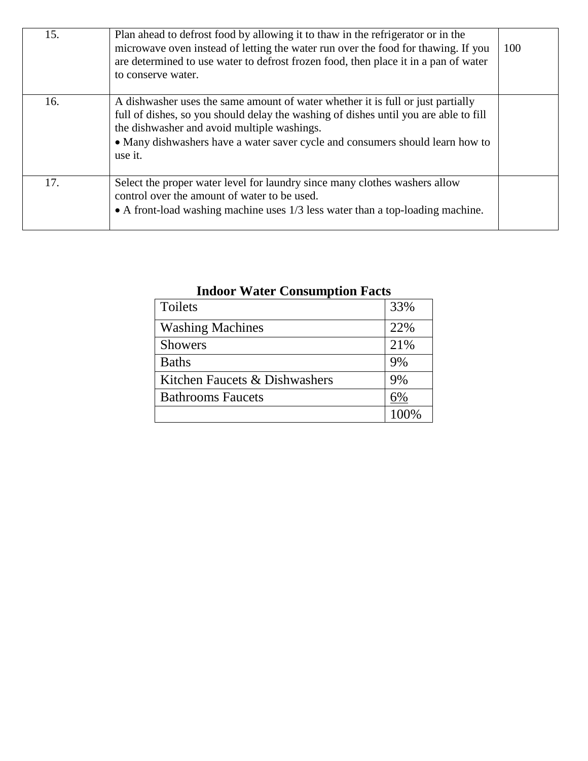| 15. | Plan ahead to defrost food by allowing it to thaw in the refrigerator or in the<br>microwave oven instead of letting the water run over the food for thawing. If you<br>are determined to use water to defrost frozen food, then place it in a pan of water<br>to conserve water.                                  | 100 |
|-----|--------------------------------------------------------------------------------------------------------------------------------------------------------------------------------------------------------------------------------------------------------------------------------------------------------------------|-----|
| 16. | A dishwasher uses the same amount of water whether it is full or just partially<br>full of dishes, so you should delay the washing of dishes until you are able to fill<br>the dishwasher and avoid multiple washings.<br>• Many dishwashers have a water saver cycle and consumers should learn how to<br>use it. |     |
| 17. | Select the proper water level for laundry since many clothes washers allow<br>control over the amount of water to be used.<br>• A front-load washing machine uses 1/3 less water than a top-loading machine.                                                                                                       |     |

| <b>Toilets</b>                | 33% |
|-------------------------------|-----|
| <b>Washing Machines</b>       | 22% |
| <b>Showers</b>                | 21% |
| <b>Baths</b>                  | 9%  |
| Kitchen Faucets & Dishwashers | 9%  |
| <b>Bathrooms Faucets</b>      | 6%  |
|                               |     |

**Indoor Water Consumption Facts**